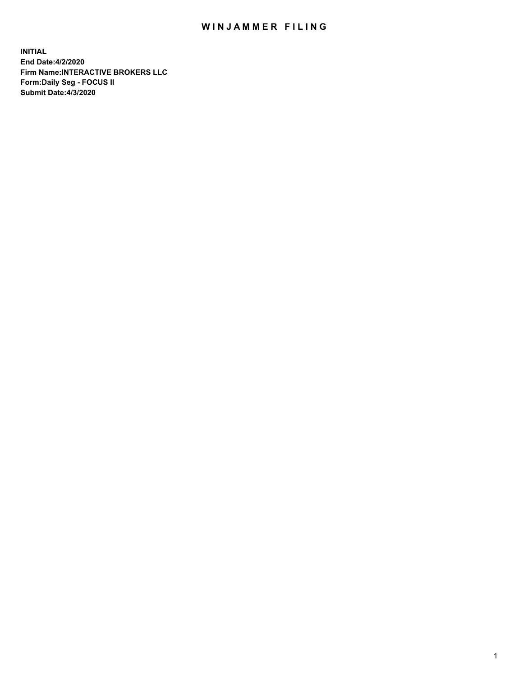## WIN JAMMER FILING

**INITIAL End Date:4/2/2020 Firm Name:INTERACTIVE BROKERS LLC Form:Daily Seg - FOCUS II Submit Date:4/3/2020**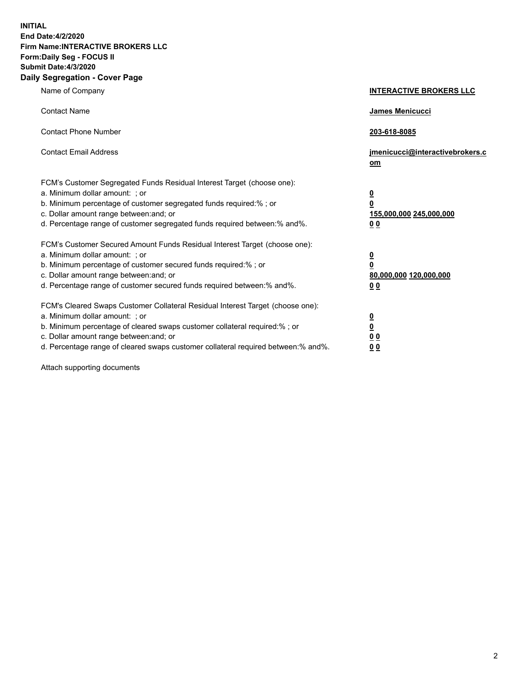**INITIAL End Date:4/2/2020 Firm Name:INTERACTIVE BROKERS LLC Form:Daily Seg - FOCUS II Submit Date:4/3/2020 Daily Segregation - Cover Page**

| Name of Company                                                                                                                                                                                                                                                                                                                | <b>INTERACTIVE BROKERS LLC</b>                                                                 |
|--------------------------------------------------------------------------------------------------------------------------------------------------------------------------------------------------------------------------------------------------------------------------------------------------------------------------------|------------------------------------------------------------------------------------------------|
| <b>Contact Name</b>                                                                                                                                                                                                                                                                                                            | James Menicucci                                                                                |
| <b>Contact Phone Number</b>                                                                                                                                                                                                                                                                                                    | 203-618-8085                                                                                   |
| <b>Contact Email Address</b>                                                                                                                                                                                                                                                                                                   | jmenicucci@interactivebrokers.c<br>om                                                          |
| FCM's Customer Segregated Funds Residual Interest Target (choose one):<br>a. Minimum dollar amount: ; or<br>b. Minimum percentage of customer segregated funds required:% ; or<br>c. Dollar amount range between: and; or<br>d. Percentage range of customer segregated funds required between:% and%.                         | <u>0</u><br>$\overline{\mathbf{0}}$<br>155,000,000 245,000,000<br>0 Q                          |
| FCM's Customer Secured Amount Funds Residual Interest Target (choose one):<br>a. Minimum dollar amount: ; or<br>b. Minimum percentage of customer secured funds required:%; or<br>c. Dollar amount range between: and; or<br>d. Percentage range of customer secured funds required between:% and%.                            | $\overline{\mathbf{0}}$<br>$\overline{\mathbf{0}}$<br>80,000,000 120,000,000<br>0 <sub>0</sub> |
| FCM's Cleared Swaps Customer Collateral Residual Interest Target (choose one):<br>a. Minimum dollar amount: ; or<br>b. Minimum percentage of cleared swaps customer collateral required:% ; or<br>c. Dollar amount range between: and; or<br>d. Percentage range of cleared swaps customer collateral required between:% and%. | $\frac{0}{0}$<br>$\underline{0}$ $\underline{0}$<br>0 <sub>0</sub>                             |

Attach supporting documents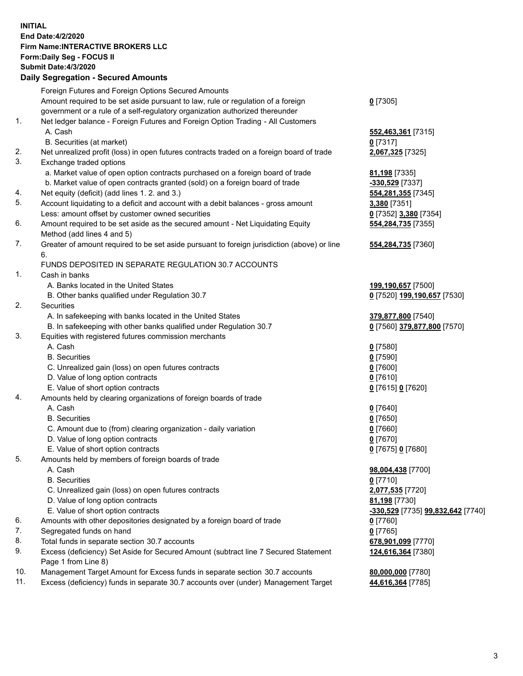**INITIAL End Date:4/2/2020 Firm Name:INTERACTIVE BROKERS LLC Form:Daily Seg - FOCUS II Submit Date:4/3/2020 Daily Segregation - Secured Amounts**

|     | Foreign Futures and Foreign Options Secured Amounts                                         |                                                             |
|-----|---------------------------------------------------------------------------------------------|-------------------------------------------------------------|
|     | Amount required to be set aside pursuant to law, rule or regulation of a foreign            | $0$ [7305]                                                  |
|     | government or a rule of a self-regulatory organization authorized thereunder                |                                                             |
| 1.  | Net ledger balance - Foreign Futures and Foreign Option Trading - All Customers             |                                                             |
|     | A. Cash                                                                                     | 552,463,361 [7315]                                          |
|     | B. Securities (at market)                                                                   | $0$ [7317]                                                  |
| 2.  | Net unrealized profit (loss) in open futures contracts traded on a foreign board of trade   | 2,067,325 [7325]                                            |
| 3.  | Exchange traded options                                                                     |                                                             |
|     | a. Market value of open option contracts purchased on a foreign board of trade              | 81,198 [7335]                                               |
|     | b. Market value of open contracts granted (sold) on a foreign board of trade                | -330,529 [7337]                                             |
| 4.  | Net equity (deficit) (add lines 1. 2. and 3.)                                               | 554,281,355 [7345]                                          |
| 5.  | Account liquidating to a deficit and account with a debit balances - gross amount           | 3,380 [7351]                                                |
|     | Less: amount offset by customer owned securities                                            | 0 [7352] 3,380 [7354]                                       |
| 6.  | Amount required to be set aside as the secured amount - Net Liquidating Equity              | 554,284,735 [7355]                                          |
|     | Method (add lines 4 and 5)                                                                  |                                                             |
| 7.  | Greater of amount required to be set aside pursuant to foreign jurisdiction (above) or line | 554, 284, 735 [7360]                                        |
|     | 6.                                                                                          |                                                             |
|     | FUNDS DEPOSITED IN SEPARATE REGULATION 30.7 ACCOUNTS                                        |                                                             |
| 1.  | Cash in banks                                                                               |                                                             |
|     | A. Banks located in the United States                                                       | 199,190,657 [7500]                                          |
|     | B. Other banks qualified under Regulation 30.7                                              | 0 [7520] 199,190,657 [7530]                                 |
| 2.  | Securities                                                                                  |                                                             |
|     | A. In safekeeping with banks located in the United States                                   | 379,877,800 [7540]                                          |
|     | B. In safekeeping with other banks qualified under Regulation 30.7                          | 0 [7560] 379,877,800 [7570]                                 |
| 3.  | Equities with registered futures commission merchants                                       |                                                             |
|     | A. Cash                                                                                     | $0$ [7580]                                                  |
|     | <b>B.</b> Securities                                                                        | $0$ [7590]                                                  |
|     | C. Unrealized gain (loss) on open futures contracts                                         | $0$ [7600]                                                  |
|     | D. Value of long option contracts                                                           | $0$ [7610]                                                  |
|     | E. Value of short option contracts                                                          | 0 [7615] 0 [7620]                                           |
| 4.  | Amounts held by clearing organizations of foreign boards of trade                           |                                                             |
|     | A. Cash                                                                                     | $Q$ [7640]                                                  |
|     | <b>B.</b> Securities                                                                        | $0$ [7650]                                                  |
|     | C. Amount due to (from) clearing organization - daily variation                             | $0$ [7660]                                                  |
|     | D. Value of long option contracts                                                           | $0$ [7670]                                                  |
|     | E. Value of short option contracts                                                          | 0 [7675] 0 [7680]                                           |
| 5.  | Amounts held by members of foreign boards of trade                                          |                                                             |
|     | A. Cash                                                                                     | 98,004,438 [7700]                                           |
|     | <b>B.</b> Securities                                                                        | $0$ [7710]                                                  |
|     | C. Unrealized gain (loss) on open futures contracts                                         | 2,077,535 [7720]                                            |
|     | D. Value of long option contracts                                                           | 81,198 [7730]                                               |
|     | E. Value of short option contracts                                                          | <mark>-330,529</mark> [7735] <mark>99,832,642</mark> [7740] |
| 6.  | Amounts with other depositories designated by a foreign board of trade                      | $0$ [7760]                                                  |
| 7.  | Segregated funds on hand                                                                    | $0$ [7765]                                                  |
| 8.  | Total funds in separate section 30.7 accounts                                               | 678,901,099 [7770]                                          |
| 9.  | Excess (deficiency) Set Aside for Secured Amount (subtract line 7 Secured Statement         | 124,616,364 [7380]                                          |
|     | Page 1 from Line 8)                                                                         |                                                             |
| 10. | Management Target Amount for Excess funds in separate section 30.7 accounts                 | 80,000,000 [7780]                                           |
| 11. | Excess (deficiency) funds in separate 30.7 accounts over (under) Management Target          | 44,616,364 [7785]                                           |
|     |                                                                                             |                                                             |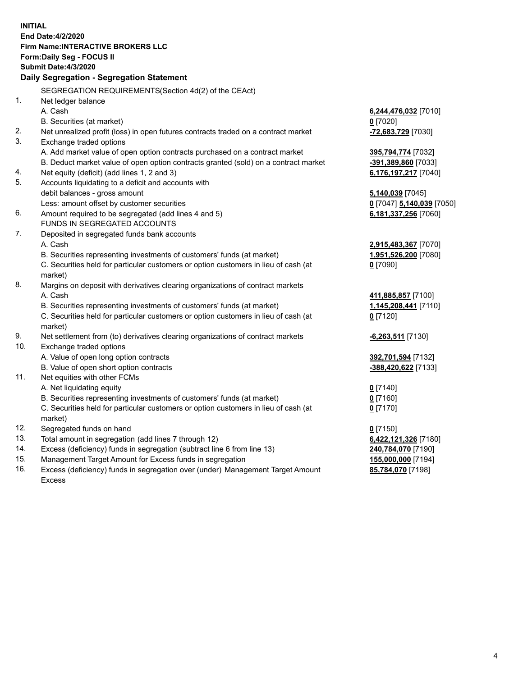**INITIAL End Date:4/2/2020 Firm Name:INTERACTIVE BROKERS LLC Form:Daily Seg - FOCUS II Submit Date:4/3/2020 Daily Segregation - Segregation Statement** SEGREGATION REQUIREMENTS(Section 4d(2) of the CEAct) 1. Net ledger balance A. Cash **6,244,476,032** [7010] B. Securities (at market) **0** [7020] 2. Net unrealized profit (loss) in open futures contracts traded on a contract market **-72,683,729** [7030] 3. Exchange traded options A. Add market value of open option contracts purchased on a contract market **395,794,774** [7032] B. Deduct market value of open option contracts granted (sold) on a contract market **-391,389,860** [7033] 4. Net equity (deficit) (add lines 1, 2 and 3) **6,176,197,217** [7040] 5. Accounts liquidating to a deficit and accounts with debit balances - gross amount **5,140,039** [7045] Less: amount offset by customer securities **0** [7047] **5,140,039** [7050] 6. Amount required to be segregated (add lines 4 and 5) **6,181,337,256** [7060] FUNDS IN SEGREGATED ACCOUNTS 7. Deposited in segregated funds bank accounts A. Cash **2,915,483,367** [7070] B. Securities representing investments of customers' funds (at market) **1,951,526,200** [7080] C. Securities held for particular customers or option customers in lieu of cash (at market) **0** [7090] 8. Margins on deposit with derivatives clearing organizations of contract markets A. Cash **411,885,857** [7100] B. Securities representing investments of customers' funds (at market) **1,145,208,441** [7110] C. Securities held for particular customers or option customers in lieu of cash (at market) **0** [7120] 9. Net settlement from (to) derivatives clearing organizations of contract markets **-6,263,511** [7130] 10. Exchange traded options A. Value of open long option contracts **392,701,594** [7132] B. Value of open short option contracts **-388,420,622** [7133] 11. Net equities with other FCMs A. Net liquidating equity **0** [7140] B. Securities representing investments of customers' funds (at market) **0** [7160] C. Securities held for particular customers or option customers in lieu of cash (at market) **0** [7170] 12. Segregated funds on hand **0** [7150] 13. Total amount in segregation (add lines 7 through 12) **6,422,121,326** [7180] 14. Excess (deficiency) funds in segregation (subtract line 6 from line 13) **240,784,070** [7190] 15. Management Target Amount for Excess funds in segregation **155,000,000** [7194] 16. Excess (deficiency) funds in segregation over (under) Management Target Amount **85,784,070** [7198]

Excess